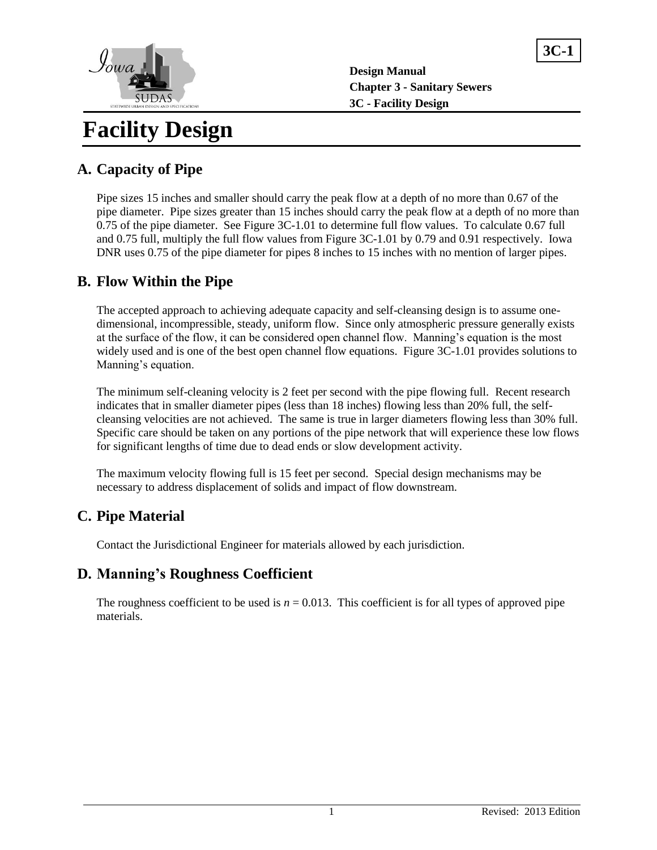





**Facility Design**

## **A. Capacity of Pipe**

Pipe sizes 15 inches and smaller should carry the peak flow at a depth of no more than 0.67 of the pipe diameter. Pipe sizes greater than 15 inches should carry the peak flow at a depth of no more than 0.75 of the pipe diameter. See Figure 3C-1.01 to determine full flow values. To calculate 0.67 full and 0.75 full, multiply the full flow values from Figure 3C-1.01 by 0.79 and 0.91 respectively. Iowa DNR uses 0.75 of the pipe diameter for pipes 8 inches to 15 inches with no mention of larger pipes.

## **B. Flow Within the Pipe**

The accepted approach to achieving adequate capacity and self-cleansing design is to assume onedimensional, incompressible, steady, uniform flow. Since only atmospheric pressure generally exists at the surface of the flow, it can be considered open channel flow. Manning's equation is the most widely used and is one of the best open channel flow equations. Figure 3C-1.01 provides solutions to Manning's equation.

The minimum self-cleaning velocity is 2 feet per second with the pipe flowing full. Recent research indicates that in smaller diameter pipes (less than 18 inches) flowing less than 20% full, the selfcleansing velocities are not achieved. The same is true in larger diameters flowing less than 30% full. Specific care should be taken on any portions of the pipe network that will experience these low flows for significant lengths of time due to dead ends or slow development activity.

The maximum velocity flowing full is 15 feet per second. Special design mechanisms may be necessary to address displacement of solids and impact of flow downstream.

# **C. Pipe Material**

Contact the Jurisdictional Engineer for materials allowed by each jurisdiction.

## **D. Manning's Roughness Coefficient**

The roughness coefficient to be used is  $n = 0.013$ . This coefficient is for all types of approved pipe materials.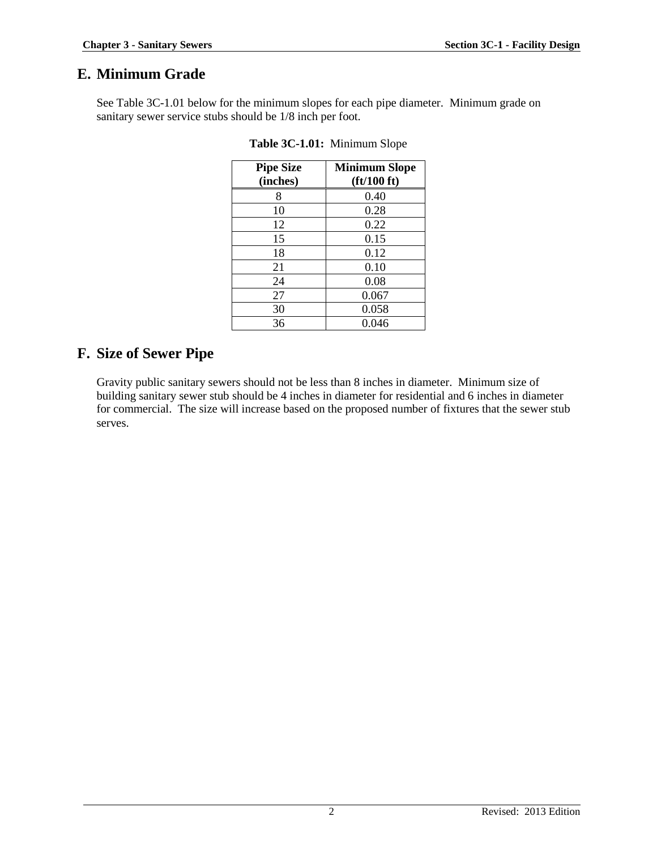## **E. Minimum Grade**

See Table 3C-1.01 below for the minimum slopes for each pipe diameter. Minimum grade on sanitary sewer service stubs should be 1/8 inch per foot.

| <b>Pipe Size</b><br>(inches) | <b>Minimum Slope</b><br>$({\rm ft}/100{\rm ft})$ |
|------------------------------|--------------------------------------------------|
| 8                            | 0.40                                             |
| 10                           | 0.28                                             |
| 12                           | 0.22                                             |
| 15                           | 0.15                                             |
| 18                           | 0.12                                             |
| 21                           | 0.10                                             |
| 24                           | 0.08                                             |
| 27                           | 0.067                                            |
| 30                           | 0.058                                            |
| 36                           | 0.046                                            |

**Table 3C-1.01:** Minimum Slope

# **F. Size of Sewer Pipe**

Gravity public sanitary sewers should not be less than 8 inches in diameter. Minimum size of building sanitary sewer stub should be 4 inches in diameter for residential and 6 inches in diameter for commercial. The size will increase based on the proposed number of fixtures that the sewer stub serves.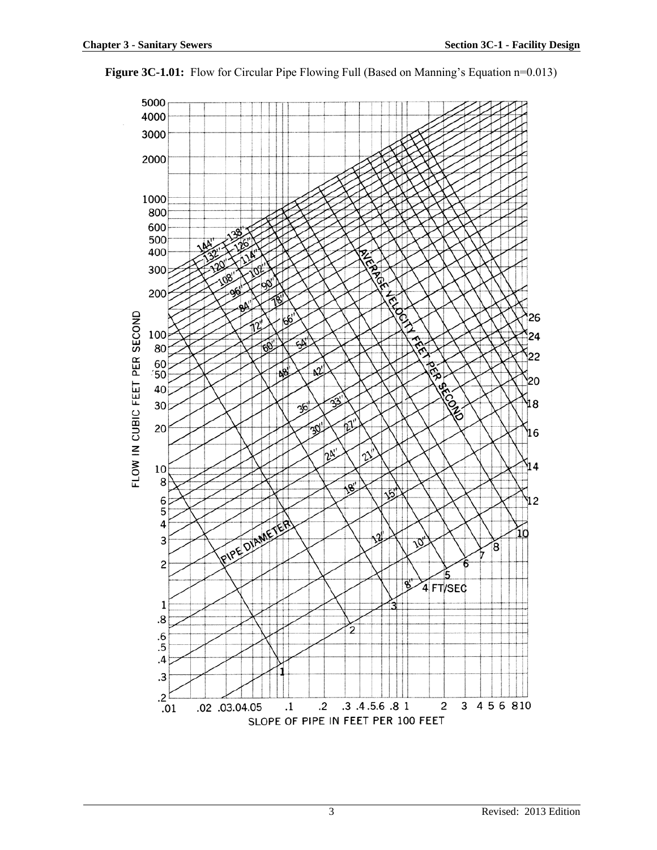

**Figure 3C-1.01:** Flow for Circular Pipe Flowing Full (Based on Manning's Equation n=0.013)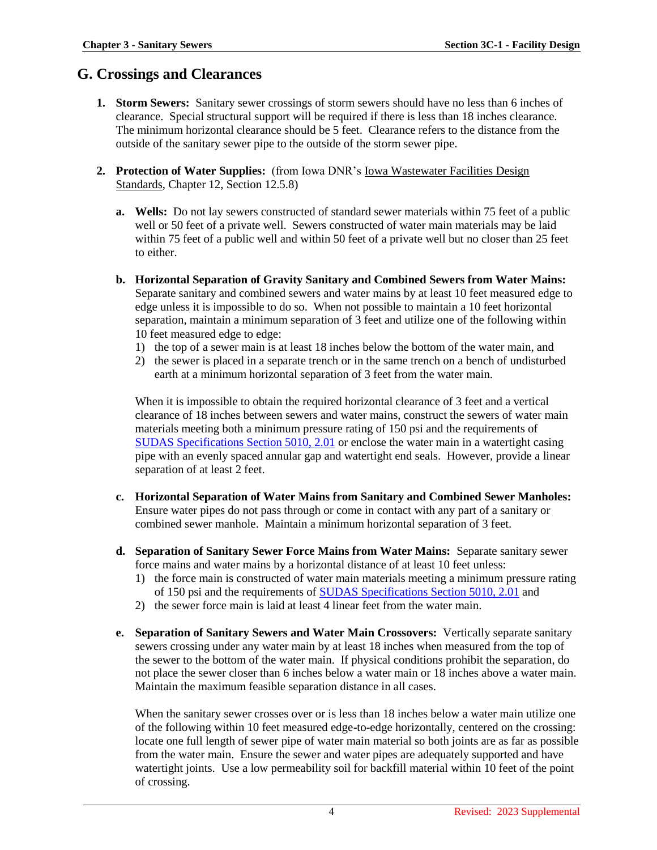### **G. Crossings and Clearances**

- **1. Storm Sewers:** Sanitary sewer crossings of storm sewers should have no less than 6 inches of clearance. Special structural support will be required if there is less than 18 inches clearance. The minimum horizontal clearance should be 5 feet. Clearance refers to the distance from the outside of the sanitary sewer pipe to the outside of the storm sewer pipe.
- **2. Protection of Water Supplies:** (from Iowa DNR's Iowa Wastewater Facilities Design Standards, Chapter 12, Section 12.5.8)
	- **a. Wells:** Do not lay sewers constructed of standard sewer materials within 75 feet of a public well or 50 feet of a private well. Sewers constructed of water main materials may be laid within 75 feet of a public well and within 50 feet of a private well but no closer than 25 feet to either.
	- **b. Horizontal Separation of Gravity Sanitary and Combined Sewers from Water Mains:** Separate sanitary and combined sewers and water mains by at least 10 feet measured edge to edge unless it is impossible to do so. When not possible to maintain a 10 feet horizontal separation, maintain a minimum separation of 3 feet and utilize one of the following within 10 feet measured edge to edge:
		- 1) the top of a sewer main is at least 18 inches below the bottom of the water main, and
		- 2) the sewer is placed in a separate trench or in the same trench on a bench of undisturbed earth at a minimum horizontal separation of 3 feet from the water main.

When it is impossible to obtain the required horizontal clearance of 3 feet and a vertical clearance of 18 inches between sewers and water mains, construct the sewers of water main materials meeting both a minimum pressure rating of 150 psi and the requirements of [SUDAS Specifications Section 5010, 2.01](https://intrans.iastate.edu/app/uploads/sites/15/2020/02/5010.pdf#page=5) or enclose the water main in a watertight casing pipe with an evenly spaced annular gap and watertight end seals. However, provide a linear separation of at least 2 feet.

- **c. Horizontal Separation of Water Mains from Sanitary and Combined Sewer Manholes:** Ensure water pipes do not pass through or come in contact with any part of a sanitary or combined sewer manhole. Maintain a minimum horizontal separation of 3 feet.
- **d. Separation of Sanitary Sewer Force Mains from Water Mains:** Separate sanitary sewer force mains and water mains by a horizontal distance of at least 10 feet unless:
	- 1) the force main is constructed of water main materials meeting a minimum pressure rating of 150 psi and the requirements of [SUDAS Specifications Section 5010, 2.01](https://intrans.iastate.edu/app/uploads/sites/15/2020/02/5010.pdf#page=5) and
	- 2) the sewer force main is laid at least 4 linear feet from the water main.
- **e. Separation of Sanitary Sewers and Water Main Crossovers:** Vertically separate sanitary sewers crossing under any water main by at least 18 inches when measured from the top of the sewer to the bottom of the water main. If physical conditions prohibit the separation, do not place the sewer closer than 6 inches below a water main or 18 inches above a water main. Maintain the maximum feasible separation distance in all cases.

When the sanitary sewer crosses over or is less than 18 inches below a water main utilize one of the following within 10 feet measured edge-to-edge horizontally, centered on the crossing: locate one full length of sewer pipe of water main material so both joints are as far as possible from the water main. Ensure the sewer and water pipes are adequately supported and have watertight joints. Use a low permeability soil for backfill material within 10 feet of the point of crossing.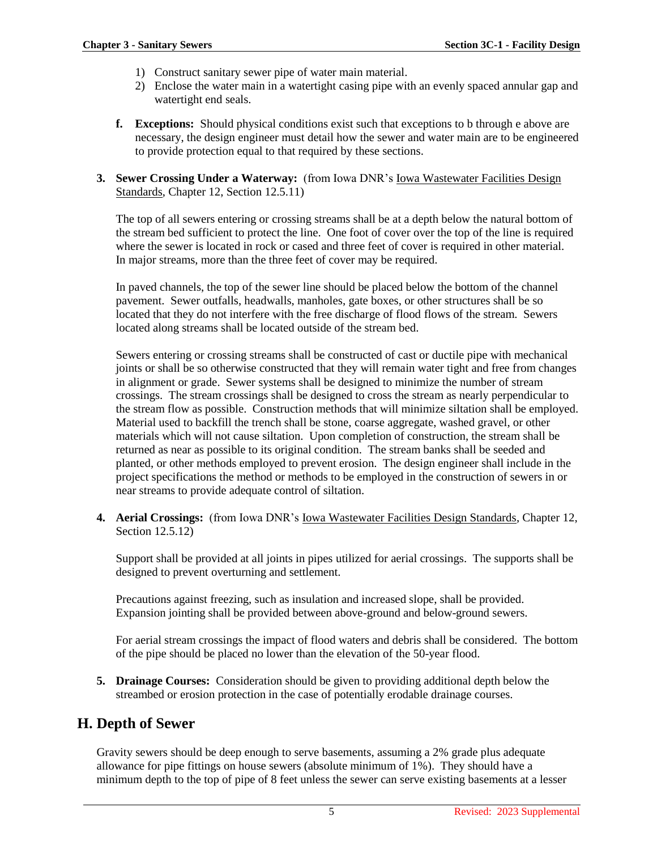- 1) Construct sanitary sewer pipe of water main material.
- 2) Enclose the water main in a watertight casing pipe with an evenly spaced annular gap and watertight end seals.
- **f. Exceptions:** Should physical conditions exist such that exceptions to b through e above are necessary, the design engineer must detail how the sewer and water main are to be engineered to provide protection equal to that required by these sections.
- **3. Sewer Crossing Under a Waterway:** (from Iowa DNR's Iowa Wastewater Facilities Design Standards, Chapter 12, Section 12.5.11)

The top of all sewers entering or crossing streams shall be at a depth below the natural bottom of the stream bed sufficient to protect the line. One foot of cover over the top of the line is required where the sewer is located in rock or cased and three feet of cover is required in other material. In major streams, more than the three feet of cover may be required.

In paved channels, the top of the sewer line should be placed below the bottom of the channel pavement. Sewer outfalls, headwalls, manholes, gate boxes, or other structures shall be so located that they do not interfere with the free discharge of flood flows of the stream. Sewers located along streams shall be located outside of the stream bed.

Sewers entering or crossing streams shall be constructed of cast or ductile pipe with mechanical joints or shall be so otherwise constructed that they will remain water tight and free from changes in alignment or grade. Sewer systems shall be designed to minimize the number of stream crossings. The stream crossings shall be designed to cross the stream as nearly perpendicular to the stream flow as possible. Construction methods that will minimize siltation shall be employed. Material used to backfill the trench shall be stone, coarse aggregate, washed gravel, or other materials which will not cause siltation. Upon completion of construction, the stream shall be returned as near as possible to its original condition. The stream banks shall be seeded and planted, or other methods employed to prevent erosion. The design engineer shall include in the project specifications the method or methods to be employed in the construction of sewers in or near streams to provide adequate control of siltation.

**4. Aerial Crossings:** (from Iowa DNR's Iowa Wastewater Facilities Design Standards, Chapter 12, Section 12.5.12)

Support shall be provided at all joints in pipes utilized for aerial crossings. The supports shall be designed to prevent overturning and settlement.

Precautions against freezing, such as insulation and increased slope, shall be provided. Expansion jointing shall be provided between above-ground and below-ground sewers.

For aerial stream crossings the impact of flood waters and debris shall be considered. The bottom of the pipe should be placed no lower than the elevation of the 50-year flood.

**5. Drainage Courses:** Consideration should be given to providing additional depth below the streambed or erosion protection in the case of potentially erodable drainage courses.

### **H. Depth of Sewer**

Gravity sewers should be deep enough to serve basements, assuming a 2% grade plus adequate allowance for pipe fittings on house sewers (absolute minimum of 1%). They should have a minimum depth to the top of pipe of 8 feet unless the sewer can serve existing basements at a lesser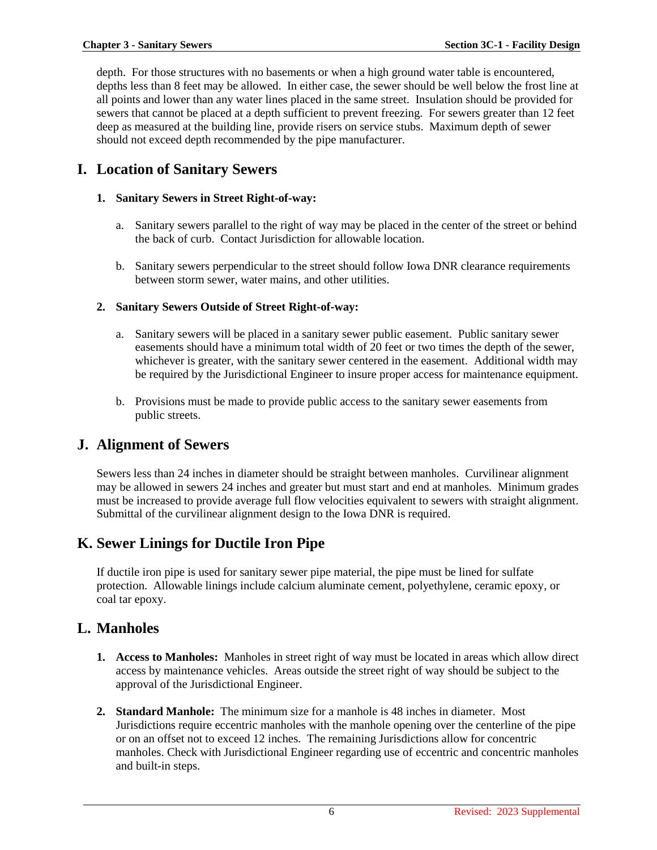depth. For those structures with no basements or when a high ground water table is encountered, depths less than 8 feet may be allowed. In either case, the sewer should be well below the frost line at all points and lower than any water lines placed in the same street. Insulation should be provided for sewers that cannot be placed at a depth sufficient to prevent freezing. For sewers greater than 12 feet deep as measured at the building line, provide risers on service stubs. Maximum depth of sewer should not exceed depth recommended by the pipe manufacturer.

# **I. Location of Sanitary Sewers**

#### **1. Sanitary Sewers in Street Right-of-way:**

- a. Sanitary sewers parallel to the right of way may be placed in the center of the street or behind the back of curb. Contact Jurisdiction for allowable location.
- b. Sanitary sewers perpendicular to the street should follow Iowa DNR clearance requirements between storm sewer, water mains, and other utilities.

#### **2. Sanitary Sewers Outside of Street Right-of-way:**

- a. Sanitary sewers will be placed in a sanitary sewer public easement. Public sanitary sewer easements should have a minimum total width of 20 feet or two times the depth of the sewer, whichever is greater, with the sanitary sewer centered in the easement. Additional width may be required by the Jurisdictional Engineer to insure proper access for maintenance equipment.
- b. Provisions must be made to provide public access to the sanitary sewer easements from public streets.

## **J. Alignment of Sewers**

Sewers less than 24 inches in diameter should be straight between manholes. Curvilinear alignment may be allowed in sewers 24 inches and greater but must start and end at manholes. Minimum grades must be increased to provide average full flow velocities equivalent to sewers with straight alignment. Submittal of the curvilinear alignment design to the Iowa DNR is required.

# **K. Sewer Linings for Ductile Iron Pipe**

If ductile iron pipe is used for sanitary sewer pipe material, the pipe must be lined for sulfate protection. Allowable linings include calcium aluminate cement, polyethylene, ceramic epoxy, or coal tar epoxy.

## **L. Manholes**

- **1. Access to Manholes:** Manholes in street right of way must be located in areas which allow direct access by maintenance vehicles. Areas outside the street right of way should be subject to the approval of the Jurisdictional Engineer.
- **2. Standard Manhole:** The minimum size for a manhole is 48 inches in diameter. Most Jurisdictions require eccentric manholes with the manhole opening over the centerline of the pipe or on an offset not to exceed 12 inches. The remaining Jurisdictions allow for concentric manholes. Check with Jurisdictional Engineer regarding use of eccentric and concentric manholes and built-in steps.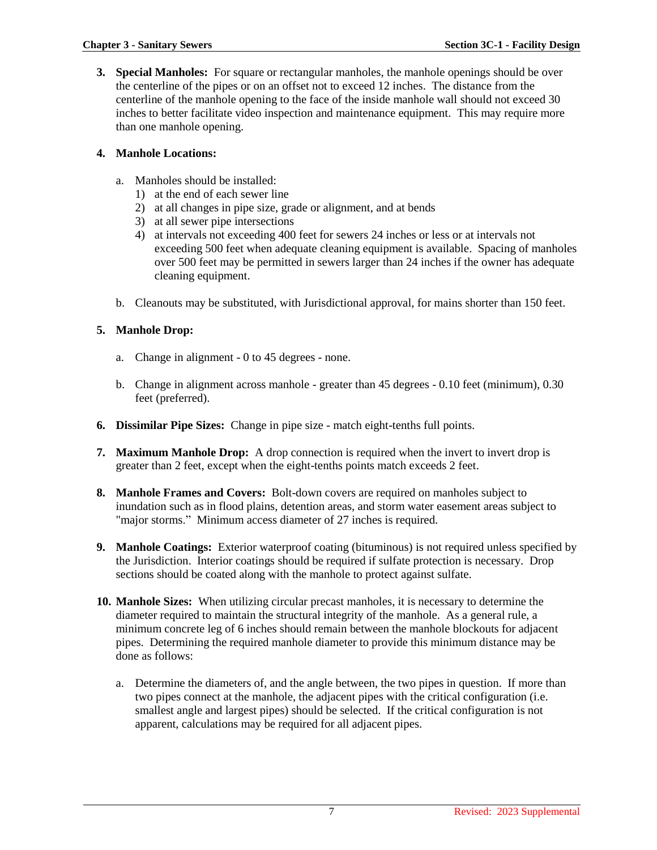**3. Special Manholes:** For square or rectangular manholes, the manhole openings should be over the centerline of the pipes or on an offset not to exceed 12 inches. The distance from the centerline of the manhole opening to the face of the inside manhole wall should not exceed 30 inches to better facilitate video inspection and maintenance equipment. This may require more than one manhole opening.

#### **4. Manhole Locations:**

- a. Manholes should be installed:
	- 1) at the end of each sewer line
	- 2) at all changes in pipe size, grade or alignment, and at bends
	- 3) at all sewer pipe intersections
	- 4) at intervals not exceeding 400 feet for sewers 24 inches or less or at intervals not exceeding 500 feet when adequate cleaning equipment is available. Spacing of manholes over 500 feet may be permitted in sewers larger than 24 inches if the owner has adequate cleaning equipment.
- b. Cleanouts may be substituted, with Jurisdictional approval, for mains shorter than 150 feet.

#### **5. Manhole Drop:**

- a. Change in alignment 0 to 45 degrees none.
- b. Change in alignment across manhole greater than 45 degrees 0.10 feet (minimum), 0.30 feet (preferred).
- **6. Dissimilar Pipe Sizes:** Change in pipe size match eight-tenths full points.
- **7. Maximum Manhole Drop:** A drop connection is required when the invert to invert drop is greater than 2 feet, except when the eight-tenths points match exceeds 2 feet.
- **8. Manhole Frames and Covers:** Bolt-down covers are required on manholes subject to inundation such as in flood plains, detention areas, and storm water easement areas subject to "major storms." Minimum access diameter of 27 inches is required.
- **9. Manhole Coatings:** Exterior waterproof coating (bituminous) is not required unless specified by the Jurisdiction. Interior coatings should be required if sulfate protection is necessary. Drop sections should be coated along with the manhole to protect against sulfate.
- **10. Manhole Sizes:** When utilizing circular precast manholes, it is necessary to determine the diameter required to maintain the structural integrity of the manhole. As a general rule, a minimum concrete leg of 6 inches should remain between the manhole blockouts for adjacent pipes. Determining the required manhole diameter to provide this minimum distance may be done as follows:
	- a. Determine the diameters of, and the angle between, the two pipes in question. If more than two pipes connect at the manhole, the adjacent pipes with the critical configuration (i.e. smallest angle and largest pipes) should be selected. If the critical configuration is not apparent, calculations may be required for all adjacent pipes.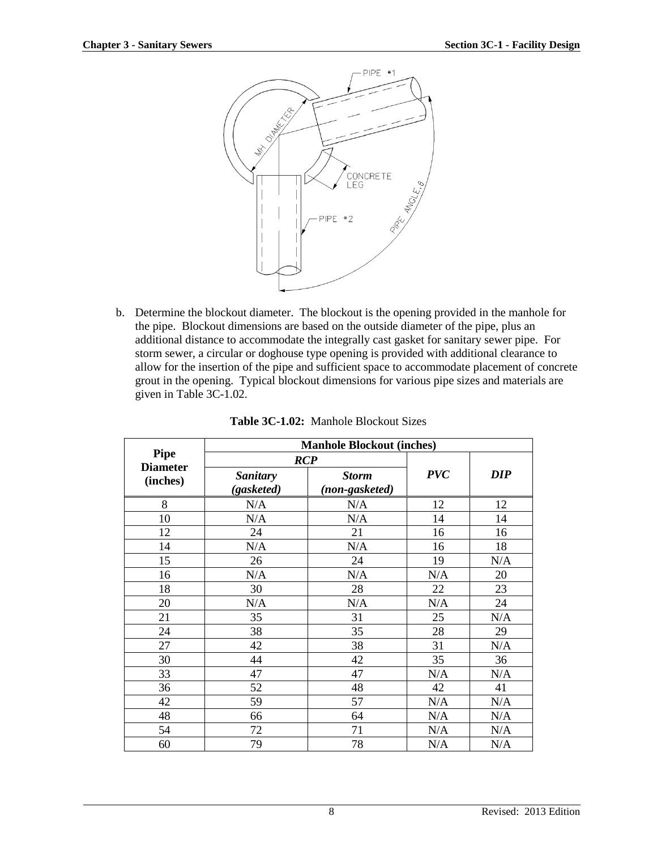

b. Determine the blockout diameter. The blockout is the opening provided in the manhole for the pipe. Blockout dimensions are based on the outside diameter of the pipe, plus an additional distance to accommodate the integrally cast gasket for sanitary sewer pipe. For storm sewer, a circular or doghouse type opening is provided with additional clearance to allow for the insertion of the pipe and sufficient space to accommodate placement of concrete grout in the opening. Typical blockout dimensions for various pipe sizes and materials are given in Table 3C-1.02.

|                                | <b>Manhole Blockout (inches)</b> |                                |     |            |  |
|--------------------------------|----------------------------------|--------------------------------|-----|------------|--|
| <b>Pipe</b><br><b>Diameter</b> | RCP                              |                                |     |            |  |
| (inches)                       | <b>Sanitary</b><br>(gasketed)    | <b>Storm</b><br>(non-gasketed) | PVC | <b>DIP</b> |  |
| 8                              | N/A                              | N/A                            | 12  | 12         |  |
| 10                             | N/A                              | N/A                            | 14  | 14         |  |
| 12                             | 24                               | 21                             | 16  | 16         |  |
| 14                             | N/A                              | N/A                            | 16  | 18         |  |
| 15                             | 26                               | 24                             | 19  | N/A        |  |
| 16                             | N/A                              | N/A                            | N/A | 20         |  |
| 18                             | 30                               | 28                             | 22  | 23         |  |
| 20                             | N/A                              | N/A                            | N/A | 24         |  |
| 21                             | 35                               | 31                             | 25  | N/A        |  |
| 24                             | 38                               | 35                             | 28  | 29         |  |
| 27                             | 42                               | 38                             | 31  | N/A        |  |
| 30                             | 44                               | 42                             | 35  | 36         |  |
| 33                             | 47                               | 47                             | N/A | N/A        |  |
| 36                             | 52                               | 48                             | 42  | 41         |  |
| 42                             | 59                               | 57                             | N/A | N/A        |  |
| 48                             | 66                               | 64                             | N/A | N/A        |  |
| 54                             | 72                               | 71                             | N/A | N/A        |  |
| 60                             | 79                               | 78                             | N/A | N/A        |  |

| <b>Table 3C-1.02:</b> Manhole Blockout Sizes |
|----------------------------------------------|
|                                              |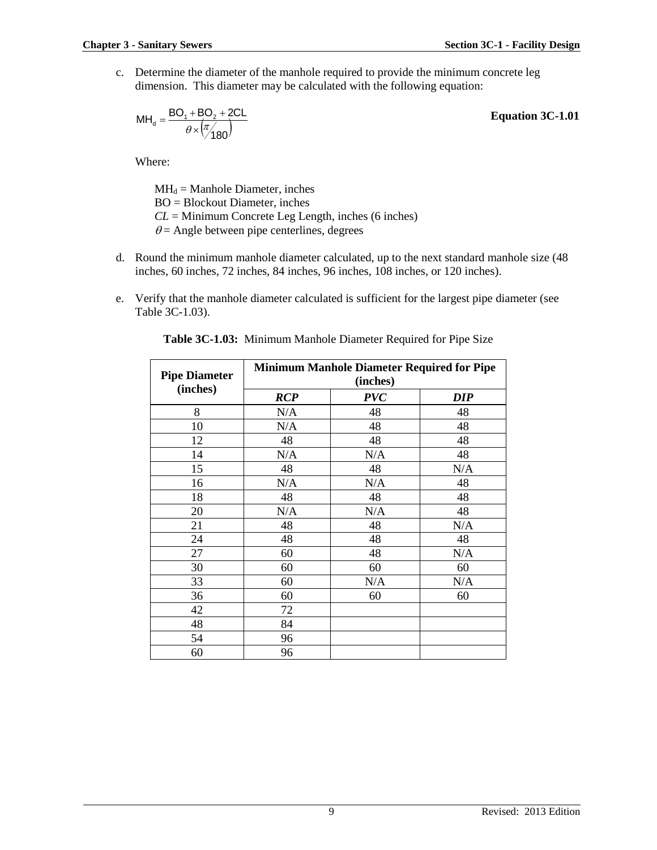c. Determine the diameter of the manhole required to provide the minimum concrete leg dimension. This diameter may be calculated with the following equation:

$$
MH_{d} = \frac{BO_{1} + BO_{2} + 2CL}{\theta \times (\pi /_{180})}
$$

**Equation 3C-1.01**

Where:

 $MH_d = Manhole$  Diameter, inches BO = Blockout Diameter, inches  $CL =$  Minimum Concrete Leg Length, inches (6 inches)  $\theta$  = Angle between pipe centerlines, degrees

- d. Round the minimum manhole diameter calculated, up to the next standard manhole size (48 inches, 60 inches, 72 inches, 84 inches, 96 inches, 108 inches, or 120 inches).
- e. Verify that the manhole diameter calculated is sufficient for the largest pipe diameter (see Table 3C-1.03).

| <b>Pipe Diameter</b> | <b>Minimum Manhole Diameter Required for Pipe</b><br>(inches) |            |            |  |
|----------------------|---------------------------------------------------------------|------------|------------|--|
| (inches)             | <b>RCP</b>                                                    | <b>PVC</b> | <b>DIP</b> |  |
| 8                    | N/A                                                           | 48         | 48         |  |
| 10                   | N/A                                                           | 48         | 48         |  |
| 12                   | 48                                                            | 48         | 48         |  |
| 14                   | N/A                                                           | N/A        | 48         |  |
| 15                   | 48                                                            | 48         | N/A        |  |
| 16                   | N/A                                                           | N/A        | 48         |  |
| 18                   | 48                                                            | 48         | 48         |  |
| 20                   | N/A                                                           | N/A        | 48         |  |
| 21                   | 48                                                            | 48         | N/A        |  |
| 24                   | 48                                                            | 48         | 48         |  |
| 27                   | 60                                                            | 48         | N/A        |  |
| 30                   | 60                                                            | 60         | 60         |  |
| 33                   | 60                                                            | N/A        | N/A        |  |
| 36                   | 60                                                            | 60         | 60         |  |
| 42                   | 72                                                            |            |            |  |
| 48                   | 84                                                            |            |            |  |
| 54                   | 96                                                            |            |            |  |
| 60                   | 96                                                            |            |            |  |

**Table 3C-1.03:** Minimum Manhole Diameter Required for Pipe Size